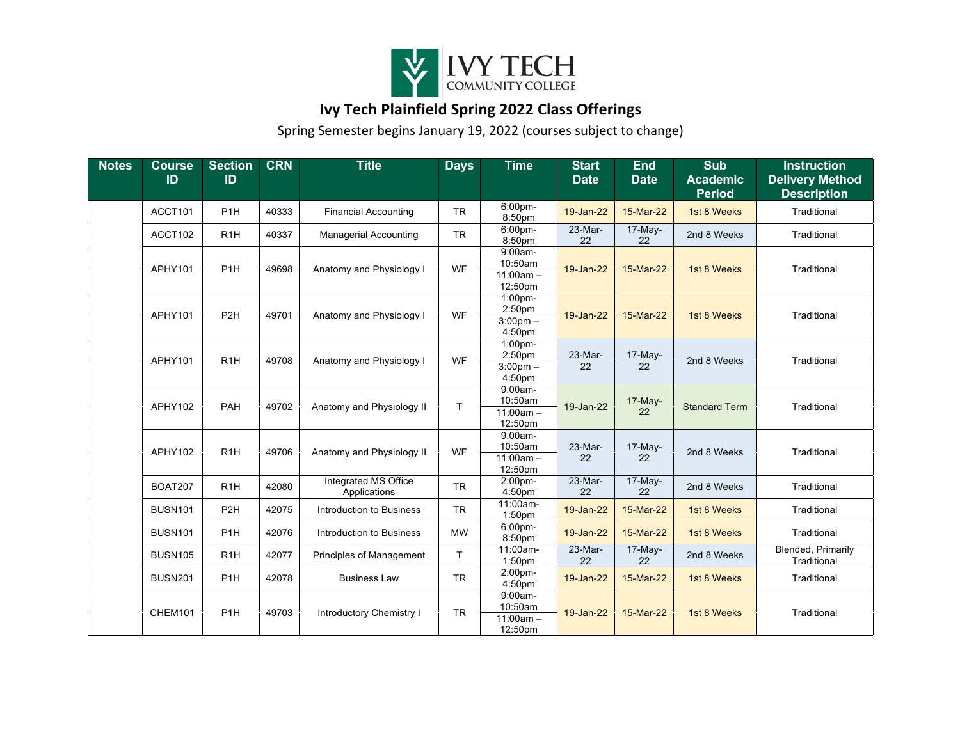

## **Ivy Tech Plainfield Spring 2022 Class Offerings**

Spring Semester begins January 19, 2022 (courses subject to change)

| <b>Notes</b> | <b>Course</b><br>ID | <b>Section</b><br>ID | <b>CRN</b> | <b>Title</b>                         | <b>Days</b>  | <b>Time</b>                                     | <b>Start</b><br><b>Date</b> | <b>End</b><br><b>Date</b> | <b>Sub</b><br><b>Academic</b><br><b>Period</b> | <b>Instruction</b><br><b>Delivery Method</b><br><b>Description</b> |
|--------------|---------------------|----------------------|------------|--------------------------------------|--------------|-------------------------------------------------|-----------------------------|---------------------------|------------------------------------------------|--------------------------------------------------------------------|
|              | ACCT101             | P <sub>1H</sub>      | 40333      | <b>Financial Accounting</b>          | <b>TR</b>    | 6:00pm-<br>8:50pm                               | 19-Jan-22                   | 15-Mar-22                 | 1st 8 Weeks                                    | Traditional                                                        |
|              | ACCT102             | R <sub>1</sub> H     | 40337      | <b>Managerial Accounting</b>         | <b>TR</b>    | 6:00pm-<br>8:50pm                               | 23-Mar-<br>22               | 17-May-<br>22             | 2nd 8 Weeks                                    | Traditional                                                        |
|              | APHY101             | P <sub>1</sub> H     | 49698      | Anatomy and Physiology I             | WF           | $9:00am-$<br>10:50am<br>$11:00am -$<br>12:50pm  | 19-Jan-22                   | 15-Mar-22                 | 1st 8 Weeks                                    | Traditional                                                        |
|              | APHY101             | P <sub>2</sub> H     | 49701      | Anatomy and Physiology I             | WF           | 1:00pm-<br>2:50pm<br>$3:00$ pm $-$<br>4:50pm    | 19-Jan-22                   | 15-Mar-22                 | 1st 8 Weeks                                    | Traditional                                                        |
|              | APHY101             | R <sub>1</sub> H     | 49708      | Anatomy and Physiology I             | <b>WF</b>    | 1:00pm-<br>2:50pm<br>$3:00$ pm $-$<br>4:50pm    | 23-Mar-<br>22               | 17-May-<br>22             | 2nd 8 Weeks                                    | Traditional                                                        |
|              | APHY102             | PAH                  | 49702      | Anatomy and Physiology II            | T            | $9:00am -$<br>10:50am<br>$11:00am -$<br>12:50pm | 19-Jan-22                   | 17-May-<br>22             | <b>Standard Term</b>                           | Traditional                                                        |
|              | APHY102             | R <sub>1</sub> H     | 49706      | Anatomy and Physiology II            | WF           | $9:00am -$<br>10:50am<br>$11:00am -$<br>12:50pm | 23-Mar-<br>22               | 17-May-<br>22             | 2nd 8 Weeks                                    | Traditional                                                        |
|              | <b>BOAT207</b>      | R <sub>1</sub> H     | 42080      | Integrated MS Office<br>Applications | <b>TR</b>    | $2:00$ pm-<br>4:50pm                            | $23-Mar-$<br>22             | $17-May-$<br>22           | 2nd 8 Weeks                                    | Traditional                                                        |
|              | <b>BUSN101</b>      | P <sub>2</sub> H     | 42075      | Introduction to Business             | <b>TR</b>    | 11:00am-<br>1:50pm                              | 19-Jan-22                   | 15-Mar-22                 | 1st 8 Weeks                                    | Traditional                                                        |
|              | <b>BUSN101</b>      | P <sub>1H</sub>      | 42076      | Introduction to Business             | <b>MW</b>    | $6:00$ pm-<br>8:50pm                            | 19-Jan-22                   | 15-Mar-22                 | 1st 8 Weeks                                    | Traditional                                                        |
|              | <b>BUSN105</b>      | R <sub>1</sub> H     | 42077      | Principles of Management             | $\mathsf{T}$ | 11:00am-<br>1:50pm                              | 23-Mar-<br>22               | 17-May-<br>22             | 2nd 8 Weeks                                    | <b>Blended, Primarily</b><br>Traditional                           |
|              | <b>BUSN201</b>      | P <sub>1</sub> H     | 42078      | <b>Business Law</b>                  | <b>TR</b>    | 2:00pm-<br>4:50pm                               | 19-Jan-22                   | 15-Mar-22                 | 1st 8 Weeks                                    | Traditional                                                        |
|              | CHEM101             | P <sub>1</sub> H     | 49703      | <b>Introductory Chemistry I</b>      | <b>TR</b>    | $9:00am -$<br>10:50am<br>$11:00am -$<br>12:50pm | 19-Jan-22                   | 15-Mar-22                 | 1st 8 Weeks                                    | Traditional                                                        |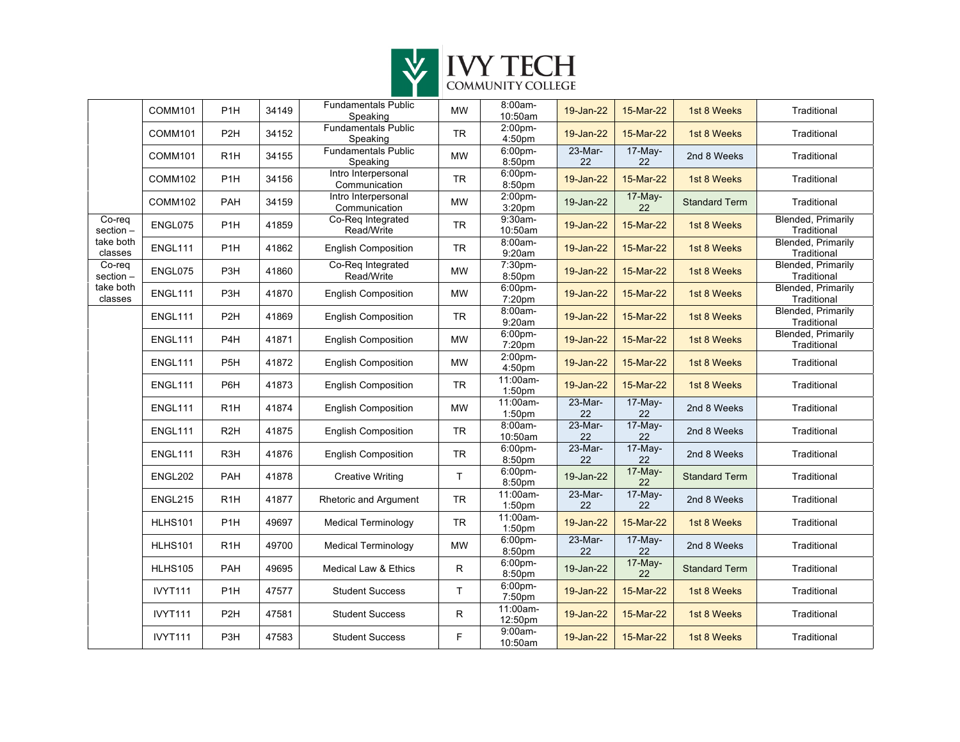

|                      | COMM101        | P <sub>1H</sub>  | 34149 | <b>Fundamentals Public</b><br>Speaking | <b>MW</b>    | 8:00am-<br>10:50am  | 19-Jan-22     | 15-Mar-22     | 1st 8 Weeks          | Traditional                              |
|----------------------|----------------|------------------|-------|----------------------------------------|--------------|---------------------|---------------|---------------|----------------------|------------------------------------------|
|                      | <b>COMM101</b> | P <sub>2</sub> H | 34152 | <b>Fundamentals Public</b><br>Speaking | ${\sf TR}$   | 2:00pm-<br>4:50pm   | 19-Jan-22     | 15-Mar-22     | 1st 8 Weeks          | Traditional                              |
|                      | COMM101        | R <sub>1</sub> H | 34155 | <b>Fundamentals Public</b><br>Speaking | <b>MW</b>    | 6:00pm-<br>8:50pm   | 23-Mar-<br>22 | 17-May-<br>22 | 2nd 8 Weeks          | Traditional                              |
|                      | COMM102        | P <sub>1</sub> H | 34156 | Intro Interpersonal<br>Communication   | <b>TR</b>    | 6:00pm-<br>8:50pm   | 19-Jan-22     | 15-Mar-22     | 1st 8 Weeks          | Traditional                              |
|                      | COMM102        | PAH              | 34159 | Intro Interpersonal<br>Communication   | <b>MW</b>    | 2:00pm-<br>3:20pm   | 19-Jan-22     | 17-May-<br>22 | <b>Standard Term</b> | Traditional                              |
| Co-reg<br>section -  | ENGL075        | P <sub>1</sub> H | 41859 | Co-Req Integrated<br>Read/Write        | <b>TR</b>    | 9:30am-<br>10:50am  | 19-Jan-22     | 15-Mar-22     | 1st 8 Weeks          | Blended, Primarily<br>Traditional        |
| take both<br>classes | ENGL111        | P <sub>1</sub> H | 41862 | <b>English Composition</b>             | <b>TR</b>    | 8:00am-<br>9:20am   | 19-Jan-22     | 15-Mar-22     | 1st 8 Weeks          | <b>Blended, Primarily</b><br>Traditional |
| Co-req<br>section -  | ENGL075        | P <sub>3H</sub>  | 41860 | Co-Req Integrated<br>Read/Write        | <b>MW</b>    | 7:30pm-<br>8:50pm   | 19-Jan-22     | 15-Mar-22     | 1st 8 Weeks          | Blended, Primarily<br>Traditional        |
| take both<br>classes | ENGL111        | P <sub>3</sub> H | 41870 | <b>English Composition</b>             | <b>MW</b>    | 6:00pm-<br>7:20pm   | 19-Jan-22     | 15-Mar-22     | 1st 8 Weeks          | Blended, Primarily<br>Traditional        |
|                      | ENGL111        | P <sub>2</sub> H | 41869 | <b>English Composition</b>             | <b>TR</b>    | 8:00am-<br>9:20am   | 19-Jan-22     | 15-Mar-22     | 1st 8 Weeks          | <b>Blended, Primarily</b><br>Traditional |
|                      | ENGL111        | P <sub>4H</sub>  | 41871 | <b>English Composition</b>             | <b>MW</b>    | 6:00pm-<br>7:20pm   | 19-Jan-22     | 15-Mar-22     | 1st 8 Weeks          | <b>Blended, Primarily</b><br>Traditional |
|                      | ENGL111        | P <sub>5</sub> H | 41872 | <b>English Composition</b>             | <b>MW</b>    | 2:00pm-<br>4:50pm   | 19-Jan-22     | 15-Mar-22     | 1st 8 Weeks          | Traditional                              |
|                      | ENGL111        | P6H              | 41873 | <b>English Composition</b>             | <b>TR</b>    | 11:00am-<br>1:50pm  | 19-Jan-22     | 15-Mar-22     | 1st 8 Weeks          | Traditional                              |
|                      | ENGL111        | R <sub>1</sub> H | 41874 | <b>English Composition</b>             | <b>MW</b>    | 11:00am-<br>1:50pm  | 23-Mar-<br>22 | 17-May-<br>22 | 2nd 8 Weeks          | Traditional                              |
|                      | ENGL111        | R <sub>2</sub> H | 41875 | <b>English Composition</b>             | <b>TR</b>    | 8:00am-<br>10:50am  | 23-Mar-<br>22 | 17-May-<br>22 | 2nd 8 Weeks          | Traditional                              |
|                      | ENGL111        | R <sub>3</sub> H | 41876 | <b>English Composition</b>             | <b>TR</b>    | 6:00pm-<br>8:50pm   | 23-Mar-<br>22 | 17-May-<br>22 | 2nd 8 Weeks          | Traditional                              |
|                      | ENGL202        | PAH              | 41878 | <b>Creative Writing</b>                | T.           | 6:00pm-<br>8:50pm   | 19-Jan-22     | 17-May-<br>22 | <b>Standard Term</b> | Traditional                              |
|                      | ENGL215        | R <sub>1</sub> H | 41877 | Rhetoric and Argument                  | ${\sf TR}$   | 11:00am-<br>1:50pm  | 23-Mar-<br>22 | 17-May-<br>22 | 2nd 8 Weeks          | Traditional                              |
|                      | <b>HLHS101</b> | P <sub>1H</sub>  | 49697 | <b>Medical Terminology</b>             | <b>TR</b>    | 11:00am-<br>1:50pm  | 19-Jan-22     | 15-Mar-22     | 1st 8 Weeks          | Traditional                              |
|                      | <b>HLHS101</b> | R <sub>1</sub> H | 49700 | <b>Medical Terminology</b>             | <b>MW</b>    | 6:00pm-<br>8:50pm   | 23-Mar-<br>22 | 17-May-<br>22 | 2nd 8 Weeks          | Traditional                              |
|                      | HLHS105        | PAH              | 49695 | Medical Law & Ethics                   | $\mathsf{R}$ | 6:00pm-<br>8:50pm   | 19-Jan-22     | 17-May-<br>22 | <b>Standard Term</b> | Traditional                              |
|                      | <b>IVYT111</b> | P <sub>1</sub> H | 47577 | <b>Student Success</b>                 | T.           | 6:00pm-<br>7:50pm   | 19-Jan-22     | 15-Mar-22     | 1st 8 Weeks          | Traditional                              |
|                      | <b>IVYT111</b> | P <sub>2</sub> H | 47581 | <b>Student Success</b>                 | R            | 11:00am-<br>12:50pm | 19-Jan-22     | 15-Mar-22     | 1st 8 Weeks          | Traditional                              |
|                      | <b>IVYT111</b> | P3H              | 47583 | <b>Student Success</b>                 | F            | 9:00am-<br>10:50am  | 19-Jan-22     | 15-Mar-22     | 1st 8 Weeks          | Traditional                              |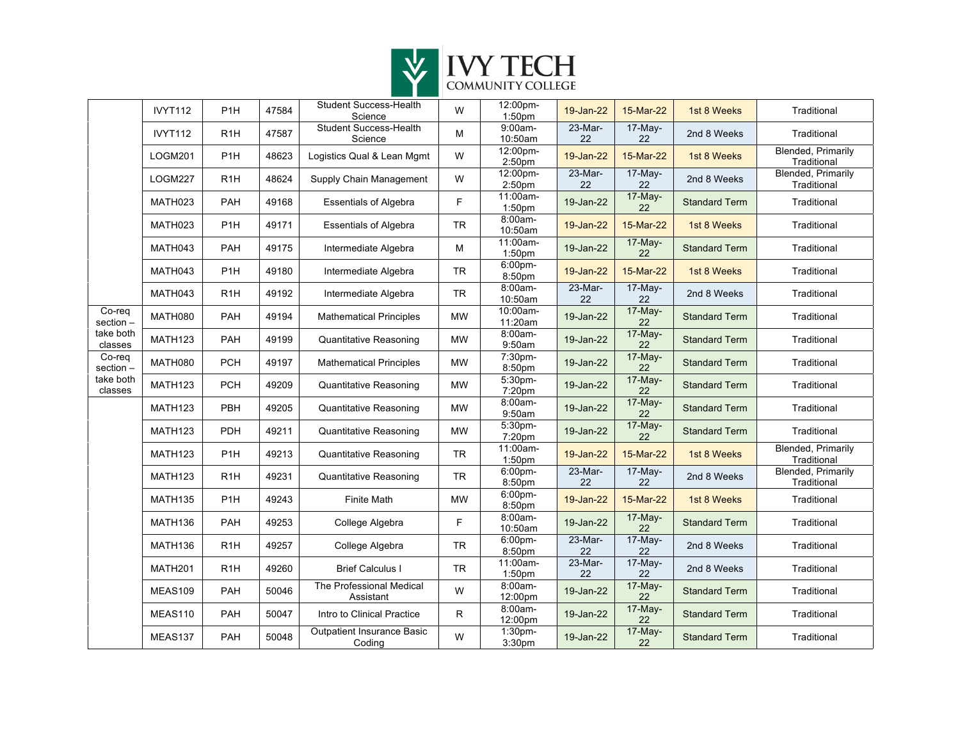

|                      | IVYT112             | P <sub>1</sub> H | 47584 | Student Success-Health<br>Science           | W           | 12:00pm-<br>1:50pm  | 19-Jan-22     | 15-Mar-22     | 1st 8 Weeks          | Traditional                              |
|----------------------|---------------------|------------------|-------|---------------------------------------------|-------------|---------------------|---------------|---------------|----------------------|------------------------------------------|
|                      | IVYT112             | R1H              | 47587 | <b>Student Success-Health</b><br>Science    | ${\sf M}$   | 9:00am-<br>10:50am  | 23-Mar-<br>22 | 17-May-<br>22 | 2nd 8 Weeks          | Traditional                              |
|                      | LOGM201             | P <sub>1</sub> H | 48623 | Logistics Qual & Lean Mgmt                  | W           | 12:00pm-<br>2:50pm  | 19-Jan-22     | 15-Mar-22     | 1st 8 Weeks          | Blended, Primarily<br>Traditional        |
|                      | <b>LOGM227</b>      | R <sub>1</sub> H | 48624 | Supply Chain Management                     | W           | 12:00pm-<br>2:50pm  | 23-Mar-<br>22 | 17-May-<br>22 | 2nd 8 Weeks          | Blended, Primarily<br>Traditional        |
|                      | MATH023             | PAH              | 49168 | <b>Essentials of Algebra</b>                | F           | 11:00am-<br>1:50pm  | 19-Jan-22     | 17-May-<br>22 | <b>Standard Term</b> | Traditional                              |
|                      | MATH023             | P <sub>1</sub> H | 49171 | <b>Essentials of Algebra</b>                | <b>TR</b>   | 8:00am-<br>10:50am  | 19-Jan-22     | 15-Mar-22     | 1st 8 Weeks          | Traditional                              |
|                      | MATH043             | PAH              | 49175 | Intermediate Algebra                        | M           | 11:00am-<br>1:50pm  | 19-Jan-22     | 17-May-<br>22 | <b>Standard Term</b> | Traditional                              |
|                      | MATH043             | P <sub>1</sub> H | 49180 | Intermediate Algebra                        | <b>TR</b>   | 6:00pm-<br>8:50pm   | 19-Jan-22     | 15-Mar-22     | 1st 8 Weeks          | Traditional                              |
|                      | MATH043             | R <sub>1</sub> H | 49192 | Intermediate Algebra                        | <b>TR</b>   | 8:00am-<br>10:50am  | 23-Mar-<br>22 | 17-May-<br>22 | 2nd 8 Weeks          | Traditional                              |
| Co-req<br>section -  | <b>MATH080</b>      | PAH              | 49194 | <b>Mathematical Principles</b>              | <b>MW</b>   | 10:00am-<br>11:20am | 19-Jan-22     | 17-May-<br>22 | <b>Standard Term</b> | Traditional                              |
| take both<br>classes | MATH123             | PAH              | 49199 | <b>Quantitative Reasoning</b>               | <b>MW</b>   | 8:00am-<br>9:50am   | 19-Jan-22     | 17-May-<br>22 | <b>Standard Term</b> | Traditional                              |
| Co-req<br>section -  | <b>MATH080</b>      | PCH              | 49197 | <b>Mathematical Principles</b>              | <b>MW</b>   | 7:30pm-<br>8:50pm   | 19-Jan-22     | 17-May-<br>22 | <b>Standard Term</b> | Traditional                              |
| take both<br>classes | MATH <sub>123</sub> | PCH              | 49209 | <b>Quantitative Reasoning</b>               | <b>MW</b>   | 5:30pm-<br>7:20pm   | 19-Jan-22     | 17-May-<br>22 | <b>Standard Term</b> | Traditional                              |
|                      | MATH123             | PBH              | 49205 | Quantitative Reasoning                      | <b>MW</b>   | 8:00am-<br>9:50am   | 19-Jan-22     | 17-May-<br>22 | <b>Standard Term</b> | Traditional                              |
|                      | <b>MATH123</b>      | PDH              | 49211 | <b>Quantitative Reasoning</b>               | <b>MW</b>   | 5:30pm-<br>7:20pm   | 19-Jan-22     | 17-May-<br>22 | <b>Standard Term</b> | Traditional                              |
|                      | MATH <sub>123</sub> | P <sub>1</sub> H | 49213 | <b>Quantitative Reasoning</b>               | <b>TR</b>   | 11:00am-<br>1:50pm  | 19-Jan-22     | 15-Mar-22     | 1st 8 Weeks          | Blended, Primarily<br>Traditional        |
|                      | MATH123             | R <sub>1</sub> H | 49231 | <b>Quantitative Reasoning</b>               | ${\sf TR}$  | 6:00pm-<br>8:50pm   | 23-Mar-<br>22 | 17-May-<br>22 | 2nd 8 Weeks          | <b>Blended, Primarily</b><br>Traditional |
|                      | <b>MATH135</b>      | P <sub>1</sub> H | 49243 | <b>Finite Math</b>                          | <b>MW</b>   | 6:00pm-<br>8:50pm   | 19-Jan-22     | 15-Mar-22     | 1st 8 Weeks          | Traditional                              |
|                      | MATH136             | PAH              | 49253 | College Algebra                             | F.          | 8:00am-<br>10:50am  | 19-Jan-22     | 17-May-<br>22 | <b>Standard Term</b> | Traditional                              |
|                      | MATH136             | R <sub>1</sub> H | 49257 | College Algebra                             | <b>TR</b>   | 6:00pm-<br>8:50pm   | 23-Mar-<br>22 | 17-May-<br>22 | 2nd 8 Weeks          | Traditional                              |
|                      | <b>MATH201</b>      | R <sub>1</sub> H | 49260 | <b>Brief Calculus I</b>                     | <b>TR</b>   | 11:00am-<br>1:50pm  | 23-Mar-<br>22 | 17-May-<br>22 | 2nd 8 Weeks          | Traditional                              |
|                      | MEAS109             | PAH              | 50046 | The Professional Medical<br>Assistant       | W           | 8:00am-<br>12:00pm  | 19-Jan-22     | 17-May-<br>22 | <b>Standard Term</b> | Traditional                              |
|                      | MEAS110             | PAH              | 50047 | Intro to Clinical Practice                  | $\mathsf R$ | 8:00am-<br>12:00pm  | 19-Jan-22     | 17-May-<br>22 | <b>Standard Term</b> | Traditional                              |
|                      | MEAS137             | PAH              | 50048 | <b>Outpatient Insurance Basic</b><br>Coding | W           | 1:30pm-<br>3:30pm   | 19-Jan-22     | 17-May-<br>22 | <b>Standard Term</b> | Traditional                              |